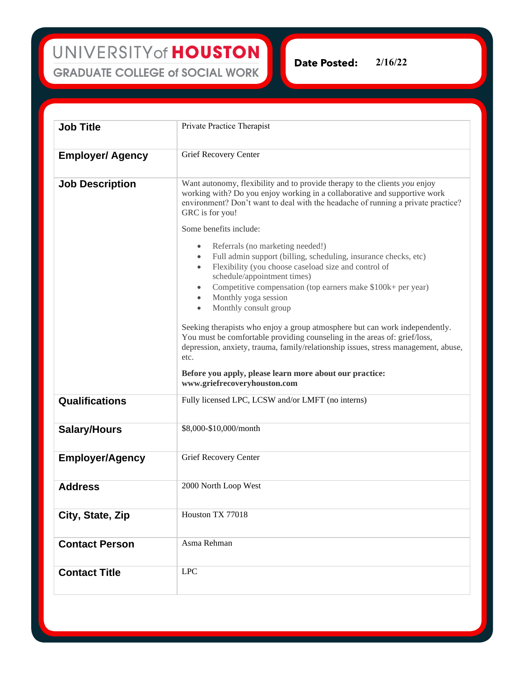UNIVERSITY of HOUSTON **GRADUATE COLLEGE of SOCIAL WORK** 

**2/16/22Date Posted:** 

| <b>Job Title</b>        | Private Practice Therapist                                                                                                                                                                                                                                                                                                                                                                                                                                                                                                                                                                                                                                                                                                                                                                                                                                                                                                                                                                                                                 |
|-------------------------|--------------------------------------------------------------------------------------------------------------------------------------------------------------------------------------------------------------------------------------------------------------------------------------------------------------------------------------------------------------------------------------------------------------------------------------------------------------------------------------------------------------------------------------------------------------------------------------------------------------------------------------------------------------------------------------------------------------------------------------------------------------------------------------------------------------------------------------------------------------------------------------------------------------------------------------------------------------------------------------------------------------------------------------------|
| <b>Employer/ Agency</b> | Grief Recovery Center                                                                                                                                                                                                                                                                                                                                                                                                                                                                                                                                                                                                                                                                                                                                                                                                                                                                                                                                                                                                                      |
| <b>Job Description</b>  | Want autonomy, flexibility and to provide therapy to the clients you enjoy<br>working with? Do you enjoy working in a collaborative and supportive work<br>environment? Don't want to deal with the headache of running a private practice?<br>GRC is for you!<br>Some benefits include:<br>Referrals (no marketing needed!)<br>$\bullet$<br>Full admin support (billing, scheduling, insurance checks, etc)<br>$\bullet$<br>Flexibility (you choose caseload size and control of<br>$\bullet$<br>schedule/appointment times)<br>Competitive compensation (top earners make \$100k+ per year)<br>$\bullet$<br>Monthly yoga session<br>$\bullet$<br>Monthly consult group<br>$\bullet$<br>Seeking therapists who enjoy a group atmosphere but can work independently.<br>You must be comfortable providing counseling in the areas of: grief/loss,<br>depression, anxiety, trauma, family/relationship issues, stress management, abuse,<br>etc.<br>Before you apply, please learn more about our practice:<br>www.griefrecoveryhouston.com |
| Qualifications          | Fully licensed LPC, LCSW and/or LMFT (no interns)                                                                                                                                                                                                                                                                                                                                                                                                                                                                                                                                                                                                                                                                                                                                                                                                                                                                                                                                                                                          |
| <b>Salary/Hours</b>     | \$8,000-\$10,000/month                                                                                                                                                                                                                                                                                                                                                                                                                                                                                                                                                                                                                                                                                                                                                                                                                                                                                                                                                                                                                     |
| <b>Employer/Agency</b>  | Grief Recovery Center                                                                                                                                                                                                                                                                                                                                                                                                                                                                                                                                                                                                                                                                                                                                                                                                                                                                                                                                                                                                                      |
| Address                 | 2000 North Loop West                                                                                                                                                                                                                                                                                                                                                                                                                                                                                                                                                                                                                                                                                                                                                                                                                                                                                                                                                                                                                       |
| City, State, Zip        | Houston TX 77018                                                                                                                                                                                                                                                                                                                                                                                                                                                                                                                                                                                                                                                                                                                                                                                                                                                                                                                                                                                                                           |
| <b>Contact Person</b>   | Asma Rehman                                                                                                                                                                                                                                                                                                                                                                                                                                                                                                                                                                                                                                                                                                                                                                                                                                                                                                                                                                                                                                |
| <b>Contact Title</b>    | <b>LPC</b>                                                                                                                                                                                                                                                                                                                                                                                                                                                                                                                                                                                                                                                                                                                                                                                                                                                                                                                                                                                                                                 |